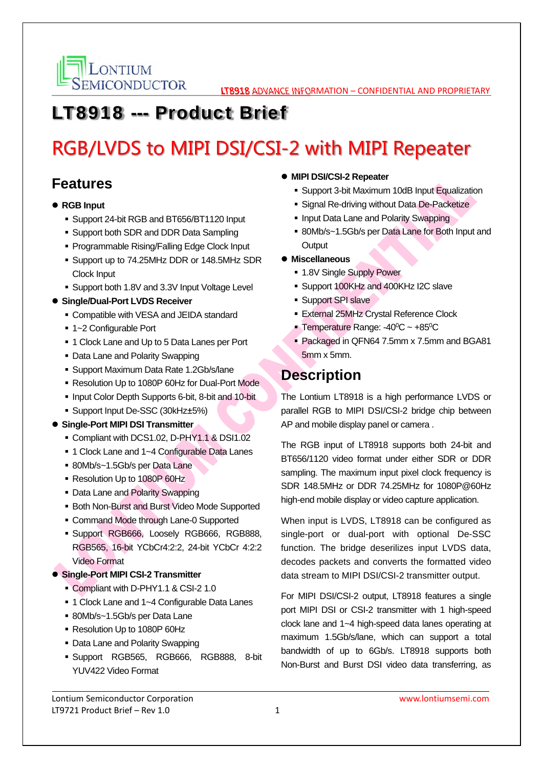

# LT8918 --- Product Brief

# RGB/LVDS to MIPI DSI/CSI-2 with MIPI Repeater

## **Features**

- **RGB Input** 
	- Support 24-bit RGB and BT656/BT1120 Input
	- Support both SDR and DDR Data Sampling
	- **Programmable Rising/Falling Edge Clock Input**
	- Support up to 74.25MHz DDR or 148.5MHz SDR Clock Input
	- Support both 1.8V and 3.3V Input Voltage Level
- **Single/Dual-Port LVDS Receiver** 
	- Compatible with VESA and JEIDA standard
	- 1~2 Configurable Port
	- **1 Clock Lane and Up to 5 Data Lanes per Port**
	- Data Lane and Polarity Swapping
	- Support Maximum Data Rate 1.2Gb/s/lane
	- Resolution Up to 1080P 60Hz for Dual-Port Mode
	- Input Color Depth Supports 6-bit, 8-bit and 10-bit
	- Support Input De-SSC (30kHz±5%)
- **Single-Port MIPI DSI Transmitter** 
	- Compliant with DCS1.02, D-PHY1.1 & DSI1.02
	- 1 Clock Lane and 1~4 Configurable Data Lanes
	- 80Mb/s~1.5Gb/s per Data Lane
	- Resolution Up to 1080P 60Hz
	- Data Lane and Polarity Swapping
	- Both Non-Burst and Burst Video Mode Supported
	- Command Mode through Lane-0 Supported
	- Support RGB666, Loosely RGB666, RGB888, RGB565, 16-bit YCbCr4:2:2, 24-bit YCbCr 4:2:2 Video Format
- **Single-Port MIPI CSI-2 Transmitter** 
	- Compliant with D-PHY1.1 & CSI-2 1.0
	- 1 Clock Lane and 1~4 Configurable Data Lanes
	- 80Mb/s~1.5Gb/s per Data Lane
	- Resolution Up to 1080P 60Hz
	- Data Lane and Polarity Swapping
	- Support RGB565, RGB666, RGB888, 8-bit YUV422 Video Format

### **MIPI DSI/CSI-2 Repeater**

- Support 3-bit Maximum 10dB Input Equalization
- **Signal Re-driving without Data De-Packetize**
- Input Data Lane and Polarity Swapping
- 80Mb/s~1.5Gb/s per Data Lane for Both Input and **Output**
- **Miscellaneous** 
	- 1.8V Single Supply Power
	- Support 100KHz and 400KHz I2C slave
	- **Support SPI slave**
	- External 25MHz Crystal Reference Clock
	- **Temperature Range: -40** $^{\circ}$ **C** ~ +85 $^{\circ}$ C
	- Packaged in QFN64 7.5mm x 7.5mm and BGA81 5mm x 5mm.

## **Description**

The Lontium LT8918 is a high performance LVDS or parallel RGB to MIPI DSI/CSI-2 bridge chip between AP and mobile display panel or camera .

The RGB input of LT8918 supports both 24-bit and BT656/1120 video format under either SDR or DDR sampling. The maximum input pixel clock frequency is SDR 148.5MHz or DDR 74.25MHz for 1080P@60Hz high-end mobile display or video capture application.

When input is LVDS, LT8918 can be configured as single-port or dual-port with optional De-SSC function. The bridge deserilizes input LVDS data, decodes packets and converts the formatted video data stream to MIPI DSI/CSI-2 transmitter output.

For MIPI DSI/CSI-2 output, LT8918 features a single port MIPI DSI or CSI-2 transmitter with 1 high-speed clock lane and 1~4 high-speed data lanes operating at maximum 1.5Gb/s/lane, which can support a total bandwidth of up to 6Gb/s. LT8918 supports both Non-Burst and Burst DSI video data transferring, as

Lontium Semiconductor Corporation www.lontiumsemi.com LT9721 Product Brief – Rev  $1.0$   $1$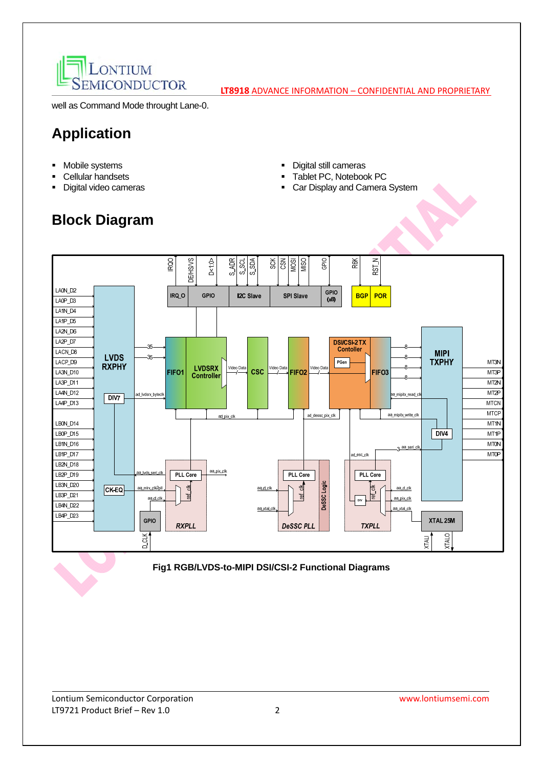

well as Command Mode throught Lane-0.

# **Application**

- **•** Mobile systems
- Cellular handsets
- Digital video cameras
- Digital still cameras
- Tablet PC, Notebook PC
- Car Display and Camera System

# **Block Diagram**

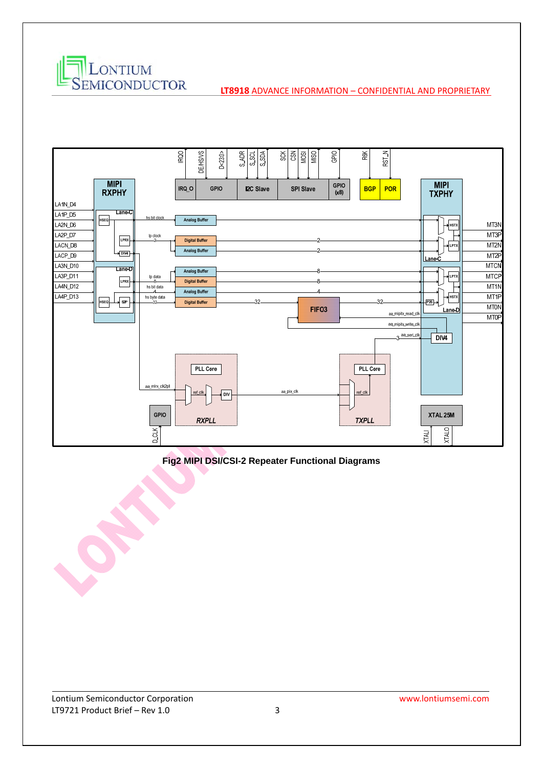



**Fig2 MIPI DSI/CSI-2 Repeater Functional Diagrams**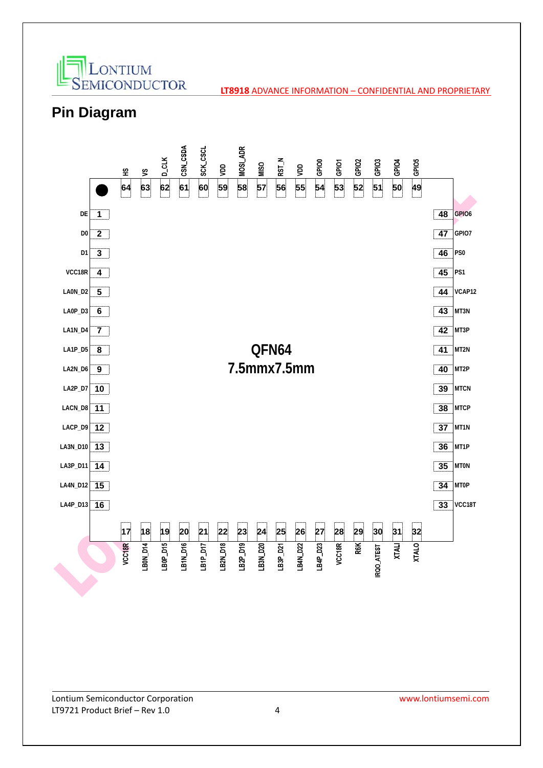

## **Pin Diagram**

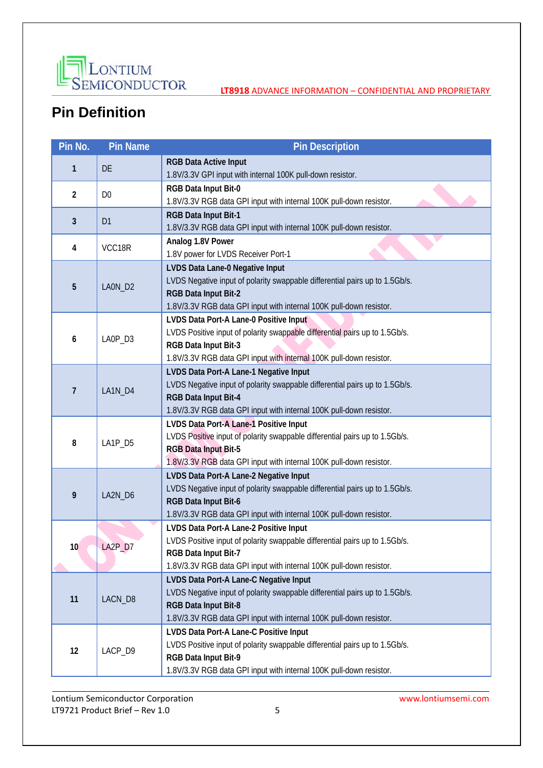

# **Pin Definition**

| Pin No.        | <b>Pin Name</b> | <b>Pin Description</b>                                                                                                                                                                                                      |  |  |  |  |
|----------------|-----------------|-----------------------------------------------------------------------------------------------------------------------------------------------------------------------------------------------------------------------------|--|--|--|--|
| 1              | DE              | <b>RGB Data Active Input</b><br>1.8V/3.3V GPI input with internal 100K pull-down resistor.                                                                                                                                  |  |  |  |  |
| $\overline{2}$ | D <sub>0</sub>  | RGB Data Input Bit-0<br>1.8V/3.3V RGB data GPI input with internal 100K pull-down resistor.                                                                                                                                 |  |  |  |  |
| $\mathbf{3}$   | D <sub>1</sub>  | RGB Data Input Bit-1<br>1.8V/3.3V RGB data GPI input with internal 100K pull-down resistor.                                                                                                                                 |  |  |  |  |
| 4              | VCC18R          | Analog 1.8V Power<br>1.8V power for LVDS Receiver Port-1                                                                                                                                                                    |  |  |  |  |
| 5              | LAON_D2         | LVDS Data Lane-0 Negative Input<br>LVDS Negative input of polarity swappable differential pairs up to 1.5Gb/s.<br>RGB Data Input Bit-2<br>1.8V/3.3V RGB data GPI input with internal 100K pull-down resistor.               |  |  |  |  |
| 6              | LAOP_D3         | LVDS Data Port-A Lane-0 Positive Input<br>LVDS Positive input of polarity swappable differential pairs up to 1.5Gb/s.<br>RGB Data Input Bit-3<br>1.8V/3.3V RGB data GPI input with internal 100K pull-down resistor.        |  |  |  |  |
| $\overline{1}$ | LA1N_D4         | LVDS Data Port-A Lane-1 Negative Input<br>LVDS Negative input of polarity swappable differential pairs up to 1.5Gb/s.<br>RGB Data Input Bit-4<br>1.8V/3.3V RGB data GPI input with internal 100K pull-down resistor.        |  |  |  |  |
| 8              | LA1P_D5         | LVDS Data Port-A Lane-1 Positive Input<br>LVDS Positive input of polarity swappable differential pairs up to 1.5Gb/s.<br><b>RGB Data Input Bit-5</b><br>1.8V/3.3V RGB data GPI input with internal 100K pull-down resistor. |  |  |  |  |
| 9              | LA2N_D6         | LVDS Data Port-A Lane-2 Negative Input<br>LVDS Negative input of polarity swappable differential pairs up to 1.5Gb/s.<br>RGB Data Input Bit-6<br>1.8V/3.3V RGB data GPI input with internal 100K pull-down resistor.        |  |  |  |  |
| 10             | LA2P_D7         | LVDS Data Port-A Lane-2 Positive Input<br>LVDS Positive input of polarity swappable differential pairs up to 1.5Gb/s.<br>RGB Data Input Bit-7<br>1.8V/3.3V RGB data GPI input with internal 100K pull-down resistor.        |  |  |  |  |
| 11             | LACN_D8         | LVDS Data Port-A Lane-C Negative Input<br>LVDS Negative input of polarity swappable differential pairs up to 1.5Gb/s.<br>RGB Data Input Bit-8<br>1.8V/3.3V RGB data GPI input with internal 100K pull-down resistor.        |  |  |  |  |
| 12             | LACP_D9         | LVDS Data Port-A Lane-C Positive Input<br>LVDS Positive input of polarity swappable differential pairs up to 1.5Gb/s.<br>RGB Data Input Bit-9<br>1.8V/3.3V RGB data GPI input with internal 100K pull-down resistor.        |  |  |  |  |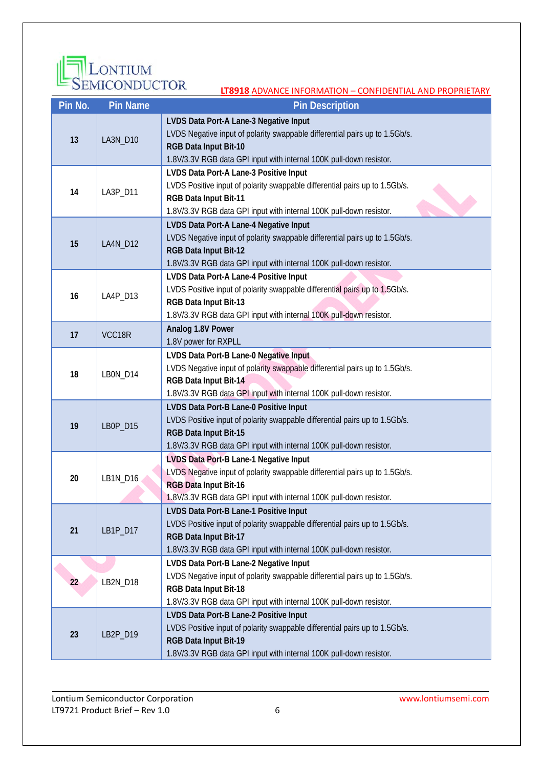

| Pin No.                                                                           | <b>Pin Name</b> | <b>Pin Description</b>                                                                                                                                                                                                       |  |  |  |  |
|-----------------------------------------------------------------------------------|-----------------|------------------------------------------------------------------------------------------------------------------------------------------------------------------------------------------------------------------------------|--|--|--|--|
| 13                                                                                | LA3N_D10        | LVDS Data Port-A Lane-3 Negative Input<br>LVDS Negative input of polarity swappable differential pairs up to 1.5Gb/s.<br>RGB Data Input Bit-10<br>1.8V/3.3V RGB data GPI input with internal 100K pull-down resistor.        |  |  |  |  |
| 14                                                                                | LA3P_D11        | LVDS Data Port-A Lane-3 Positive Input<br>LVDS Positive input of polarity swappable differential pairs up to 1.5Gb/s.<br>RGB Data Input Bit-11<br>1.8V/3.3V RGB data GPI input with internal 100K pull-down resistor.        |  |  |  |  |
| 15                                                                                | LA4N_D12        | LVDS Data Port-A Lane-4 Negative Input<br>LVDS Negative input of polarity swappable differential pairs up to 1.5Gb/s.<br>RGB Data Input Bit-12<br>1.8V/3.3V RGB data GPI input with internal 100K pull-down resistor.        |  |  |  |  |
| 16                                                                                | LA4P_D13        | LVDS Data Port-A Lane-4 Positive Input<br>LVDS Positive input of polarity swappable differential pairs up to 1.5Gb/s.<br>RGB Data Input Bit-13<br>1.8V/3.3V RGB data GPI input with internal 100K pull-down resistor.        |  |  |  |  |
| 17                                                                                | VCC18R          | Analog 1.8V Power<br>1.8V power for RXPLL                                                                                                                                                                                    |  |  |  |  |
| 18                                                                                | LBON_D14        | LVDS Data Port-B Lane-0 Negative Input<br>LVDS Negative input of polarity swappable differential pairs up to 1.5Gb/s.<br>RGB Data Input Bit-14<br>1.8V/3.3V RGB data GPI input with internal 100K pull-down resistor.        |  |  |  |  |
| 19                                                                                | LB0P_D15        | LVDS Data Port-B Lane-0 Positive Input<br>LVDS Positive input of polarity swappable differential pairs up to 1.5Gb/s.<br>RGB Data Input Bit-15<br>1.8V/3.3V RGB data GPI input with internal 100K pull-down resistor.        |  |  |  |  |
| 20                                                                                | LB1N_D16        | LVDS Data Port-B Lane-1 Negative Input<br>LVDS Negative input of polarity swappable differential pairs up to 1.5Gb/s.<br><b>RGB Data Input Bit-16</b><br>1.8V/3.3V RGB data GPI input with internal 100K pull-down resistor. |  |  |  |  |
| 21                                                                                | LB1P_D17        | LVDS Data Port-B Lane-1 Positive Input<br>LVDS Positive input of polarity swappable differential pairs up to 1.5Gb/s.<br>RGB Data Input Bit-17<br>1.8V/3.3V RGB data GPI input with internal 100K pull-down resistor.        |  |  |  |  |
| 22                                                                                | LB2N_D18        | LVDS Data Port-B Lane-2 Negative Input<br>LVDS Negative input of polarity swappable differential pairs up to 1.5Gb/s.<br>RGB Data Input Bit-18<br>1.8V/3.3V RGB data GPI input with internal 100K pull-down resistor.        |  |  |  |  |
| LVDS Data Port-B Lane-2 Positive Input<br>23<br>LB2P_D19<br>RGB Data Input Bit-19 |                 | LVDS Positive input of polarity swappable differential pairs up to 1.5Gb/s.<br>1.8V/3.3V RGB data GPI input with internal 100K pull-down resistor.                                                                           |  |  |  |  |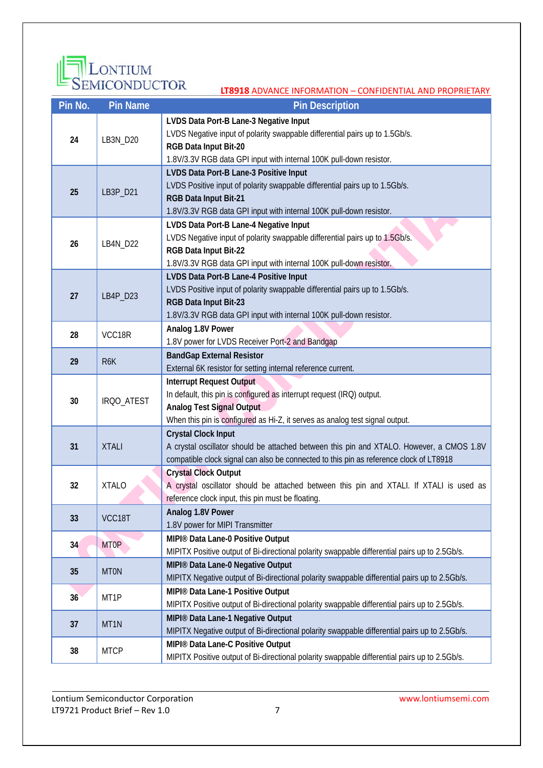

### **Pin No. Pin Name Pin Annual Pin Description 24** LB3N\_D20 **LVDS Data Port-B Lane-3 Negative Input** LVDS Negative input of polarity swappable differential pairs up to 1.5Gb/s. **RGB Data Input Bit-20** 1.8V/3.3V RGB data GPI input with internal 100K pull-down resistor. **25** LB3P\_D21 **LVDS Data Port-B Lane-3 Positive Input** LVDS Positive input of polarity swappable differential pairs up to 1.5Gb/s. **RGB Data Input Bit-21** 1.8V/3.3V RGB data GPI input with internal 100K pull-down resistor. **26** LB4N\_D22 **LVDS Data Port-B Lane-4 Negative Input** LVDS Negative input of polarity swappable differential pairs up to 1.5Gb/s. **RGB Data Input Bit-22** 1.8V/3.3V RGB data GPI input with internal 100K pull-down resistor. **27** LB4P\_D23 **LVDS Data Port-B Lane-4 Positive Input** LVDS Positive input of polarity swappable differential pairs up to 1.5Gb/s. **RGB Data Input Bit-23** 1.8V/3.3V RGB data GPI input with internal 100K pull-down resistor. 28 **VCC18R Analog 1.8V Power** 1.8V power for LVDS Receiver Port-2 and Bandgap **29R6K BandGap External Resistor** External 6K resistor for setting internal reference current. **30** IRQO\_ATEST **Interrupt Request Output**  In default, this pin is configured as interrupt request (IRQ) output. **Analog Test Signal Output**  When this pin is configured as Hi-Z, it serves as analog test signal output. **31** XTALI **Crystal Clock Input**  A crystal oscillator should be attached between this pin and XTALO. However, a CMOS 1.8V compatible clock signal can also be connected to this pin as reference clock of LT8918 **32** XTALO **Crystal Clock Output**  A crystal oscillator should be attached between this pin and XTALI. If XTALI is used as reference clock input, this pin must be floating. **<sup>33</sup>**VCC18T **Analog 1.8V Power** 1.8V power for MIPI Transmitter **34** MT0P **MIPI®** Data Lane-0 Positive Output MIPITX Positive output of Bi-directional polarity swappable differential pairs up to 2.5Gb/s. **35** MT0N **MIPI®** Data Lane-0 Negative Output MIPITX Negative output of Bi-directional polarity swappable differential pairs up to 2.5Gb/s. **36** MT1P **MIPI®** Data Lane-1 Positive Output MIPITX Positive output of Bi-directional polarity swappable differential pairs up to 2.5Gb/s. **37** MT1N **MIPI® Data Lane-1 Negative Output** MIPITX Negative output of Bi-directional polarity swappable differential pairs up to 2.5Gb/s. **<sup>38</sup>**MTCP **MIPI® Data Lane-C Positive Output** MIPITX Positive output of Bi-directional polarity swappable differential pairs up to 2.5Gb/s.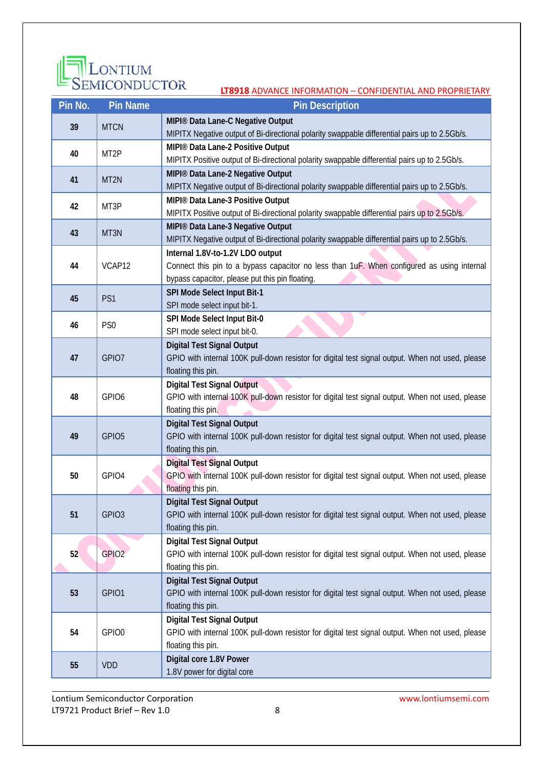

| Pin No. | <b>Pin Name</b>   | <b>Pin Description</b>                                                                                                 |  |  |  |  |
|---------|-------------------|------------------------------------------------------------------------------------------------------------------------|--|--|--|--|
| 39      | <b>MTCN</b>       | MIPI® Data Lane-C Negative Output                                                                                      |  |  |  |  |
|         |                   | MIPITX Negative output of Bi-directional polarity swappable differential pairs up to 2.5Gb/s.                          |  |  |  |  |
| 40      | MT <sub>2P</sub>  | MIPI® Data Lane-2 Positive Output                                                                                      |  |  |  |  |
|         |                   | MIPITX Positive output of Bi-directional polarity swappable differential pairs up to 2.5Gb/s.                          |  |  |  |  |
| 41      | MT <sub>2N</sub>  | MIPI® Data Lane-2 Negative Output                                                                                      |  |  |  |  |
|         |                   | MIPITX Negative output of Bi-directional polarity swappable differential pairs up to 2.5Gb/s.                          |  |  |  |  |
| 42      | MT3P              | MIPI® Data Lane-3 Positive Output                                                                                      |  |  |  |  |
|         |                   | MIPITX Positive output of Bi-directional polarity swappable differential pairs up to 2.5Gb/s.                          |  |  |  |  |
| 43      | MT3N              | MIPI® Data Lane-3 Negative Output                                                                                      |  |  |  |  |
|         |                   | MIPITX Negative output of Bi-directional polarity swappable differential pairs up to 2.5Gb/s.                          |  |  |  |  |
|         |                   | Internal 1.8V-to-1.2V LDO output                                                                                       |  |  |  |  |
| 44      | VCAP12            | Connect this pin to a bypass capacitor no less than 1uF. When configured as using internal                             |  |  |  |  |
|         |                   | bypass capacitor, please put this pin floating.                                                                        |  |  |  |  |
| 45      | PS1               | SPI Mode Select Input Bit-1<br>SPI mode select input bit-1.                                                            |  |  |  |  |
|         |                   | SPI Mode Select Input Bit-0                                                                                            |  |  |  |  |
| 46      | PS <sub>0</sub>   | SPI mode select input bit-0.                                                                                           |  |  |  |  |
|         |                   | <b>Digital Test Signal Output</b>                                                                                      |  |  |  |  |
| 47      | GPIO7             | GPIO with internal 100K pull-down resistor for digital test signal output. When not used, please                       |  |  |  |  |
|         |                   | floating this pin.                                                                                                     |  |  |  |  |
|         |                   | <b>Digital Test Signal Output</b>                                                                                      |  |  |  |  |
| 48      | GPIO <sub>6</sub> | GPIO with internal 100K pull-down resistor for digital test signal output. When not used, please                       |  |  |  |  |
|         |                   | floating this pin.                                                                                                     |  |  |  |  |
|         | GPIO <sub>5</sub> | <b>Digital Test Signal Output</b>                                                                                      |  |  |  |  |
| 49      |                   | GPIO with internal 100K pull-down resistor for digital test signal output. When not used, please                       |  |  |  |  |
|         |                   | floating this pin.                                                                                                     |  |  |  |  |
|         |                   | <b>Digital Test Signal Output</b>                                                                                      |  |  |  |  |
| 50      | GPIO4             | GPIO with internal 100K pull-down resistor for digital test signal output. When not used, please                       |  |  |  |  |
|         |                   | floating this pin.                                                                                                     |  |  |  |  |
|         |                   | <b>Digital Test Signal Output</b>                                                                                      |  |  |  |  |
| 51      | GPIO <sub>3</sub> | GPIO with internal 100K pull-down resistor for digital test signal output. When not used, please                       |  |  |  |  |
|         |                   | floating this pin.                                                                                                     |  |  |  |  |
|         |                   | <b>Digital Test Signal Output</b>                                                                                      |  |  |  |  |
| 52      | GPIO <sub>2</sub> | GPIO with internal 100K pull-down resistor for digital test signal output. When not used, please<br>floating this pin. |  |  |  |  |
|         |                   | <b>Digital Test Signal Output</b>                                                                                      |  |  |  |  |
| 53      | GPIO1             | GPIO with internal 100K pull-down resistor for digital test signal output. When not used, please                       |  |  |  |  |
|         |                   | floating this pin.                                                                                                     |  |  |  |  |
|         |                   | <b>Digital Test Signal Output</b>                                                                                      |  |  |  |  |
| 54      | GPIO0             | GPIO with internal 100K pull-down resistor for digital test signal output. When not used, please                       |  |  |  |  |
|         |                   | floating this pin.                                                                                                     |  |  |  |  |
|         |                   | Digital core 1.8V Power                                                                                                |  |  |  |  |
| 55      | <b>VDD</b>        | 1.8V power for digital core                                                                                            |  |  |  |  |
|         |                   |                                                                                                                        |  |  |  |  |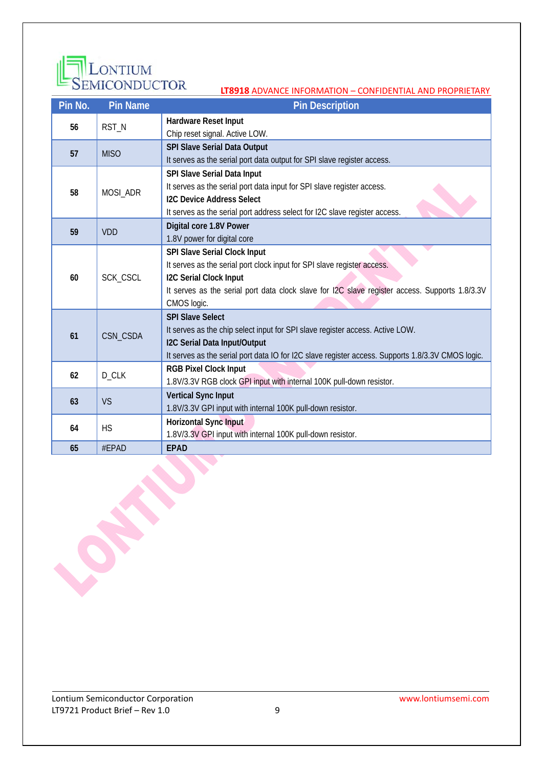

| Pin No. | <b>Pin Name</b> | <b>Pin Description</b>                                                                            |  |  |  |
|---------|-----------------|---------------------------------------------------------------------------------------------------|--|--|--|
| 56      | RST_N           | Hardware Reset Input                                                                              |  |  |  |
|         |                 | Chip reset signal. Active LOW.                                                                    |  |  |  |
| 57      | <b>MISO</b>     | <b>SPI Slave Serial Data Output</b>                                                               |  |  |  |
|         |                 | It serves as the serial port data output for SPI slave register access.                           |  |  |  |
|         |                 | SPI Slave Serial Data Input                                                                       |  |  |  |
| 58      | MOSI_ADR        | It serves as the serial port data input for SPI slave register access.                            |  |  |  |
|         |                 | <b>I2C Device Address Select</b>                                                                  |  |  |  |
|         |                 | It serves as the serial port address select for I2C slave register access.                        |  |  |  |
| 59      | <b>VDD</b>      | Digital core 1.8V Power                                                                           |  |  |  |
|         |                 | 1.8V power for digital core                                                                       |  |  |  |
|         | SCK_CSCL        | SPI Slave Serial Clock Input                                                                      |  |  |  |
|         |                 | It serves as the serial port clock input for SPI slave register access.                           |  |  |  |
| 60      |                 | <b>I2C Serial Clock Input</b>                                                                     |  |  |  |
|         |                 | It serves as the serial port data clock slave for I2C slave register access. Supports 1.8/3.3V    |  |  |  |
|         |                 | CMOS logic.                                                                                       |  |  |  |
|         | CSN_CSDA        | <b>SPI Slave Select</b>                                                                           |  |  |  |
| 61      |                 | It serves as the chip select input for SPI slave register access. Active LOW.                     |  |  |  |
|         |                 | I2C Serial Data Input/Output                                                                      |  |  |  |
|         |                 | It serves as the serial port data IO for I2C slave register access. Supports 1.8/3.3V CMOS logic. |  |  |  |
| 62      | D_CLK           | <b>RGB Pixel Clock Input</b>                                                                      |  |  |  |
|         |                 | 1.8V/3.3V RGB clock GPI input with internal 100K pull-down resistor.                              |  |  |  |
| 63      | <b>VS</b>       | <b>Vertical Sync Input</b>                                                                        |  |  |  |
|         |                 | 1.8V/3.3V GPI input with internal 100K pull-down resistor.                                        |  |  |  |
| 64      | <b>HS</b>       | Horizontal Sync Input                                                                             |  |  |  |
|         |                 | 1.8V/3.3V GPI input with internal 100K pull-down resistor.                                        |  |  |  |
| 65      | #EPAD           | <b>EPAD</b>                                                                                       |  |  |  |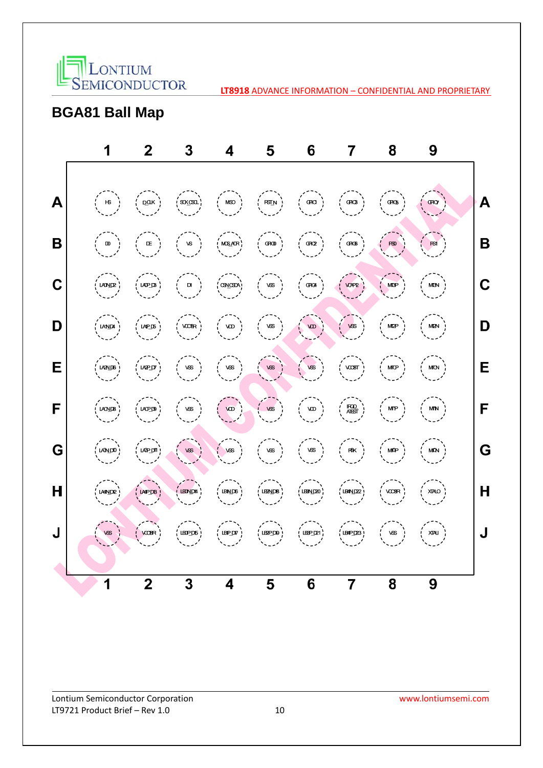

## **BGA81 Ball Map**

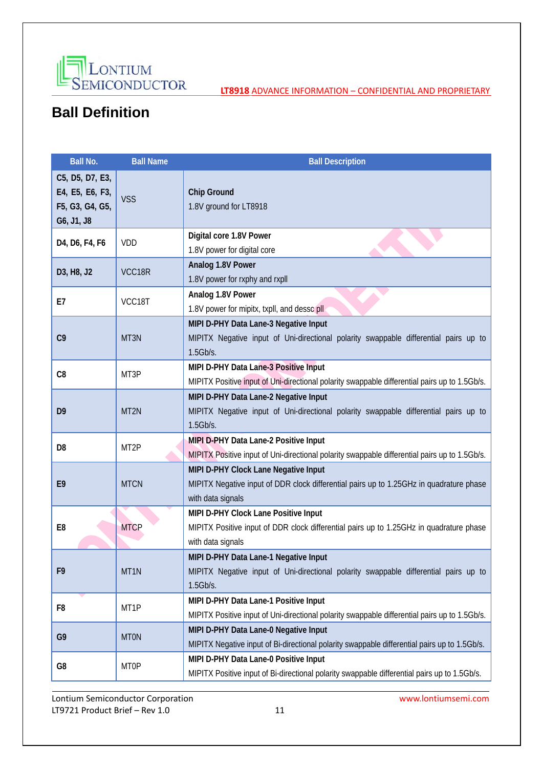

# **Ball Definition**

| <b>Ball No.</b>                                                     | <b>Ball Name</b>  | <b>Ball Description</b>                                                                                                                              |  |  |
|---------------------------------------------------------------------|-------------------|------------------------------------------------------------------------------------------------------------------------------------------------------|--|--|
| C5, D5, D7, E3,<br>E4, E5, E6, F3,<br>F5, G3, G4, G5,<br>G6, J1, J8 | <b>VSS</b>        | Chip Ground<br>1.8V ground for LT8918                                                                                                                |  |  |
| D4, D6, F4, F6                                                      | VDD               | Digital core 1.8V Power<br>1.8V power for digital core                                                                                               |  |  |
| D3, H8, J2                                                          | VCC18R            | Analog 1.8V Power<br>1.8V power for rxphy and rxpll                                                                                                  |  |  |
| E7                                                                  | VCC18T            | Analog 1.8V Power<br>1.8V power for mipitx, txpll, and dessc pll                                                                                     |  |  |
| C9                                                                  | MT3N              | MIPI D-PHY Data Lane-3 Negative Input<br>MIPITX Negative input of Uni-directional polarity swappable differential pairs up to<br>1.5Gb/s.            |  |  |
| C8                                                                  | MT3P              | MIPI D-PHY Data Lane-3 Positive Input<br>MIPITX Positive input of Uni-directional polarity swappable differential pairs up to 1.5Gb/s.               |  |  |
| D <sub>9</sub>                                                      | MT <sub>2N</sub>  | MIPI D-PHY Data Lane-2 Negative Input<br>MIPITX Negative input of Uni-directional polarity swappable differential pairs up to<br>$1.5$ Gb/s.         |  |  |
| D <sub>8</sub>                                                      | MT <sub>2</sub> P | MIPI D-PHY Data Lane-2 Positive Input<br>MIPITX Positive input of Uni-directional polarity swappable differential pairs up to 1.5Gb/s.               |  |  |
| E <sub>9</sub>                                                      | <b>MTCN</b>       | MIPI D-PHY Clock Lane Negative Input<br>MIPITX Negative input of DDR clock differential pairs up to 1.25GHz in quadrature phase<br>with data signals |  |  |
| E <sub>8</sub>                                                      | <b>MTCP</b>       | MIPI D-PHY Clock Lane Positive Input<br>MIPITX Positive input of DDR clock differential pairs up to 1.25GHz in quadrature phase<br>with data signals |  |  |
| F9                                                                  | MT1N              | MIPI D-PHY Data Lane-1 Negative Input<br>MIPITX Negative input of Uni-directional polarity swappable differential pairs up to<br>$1.5$ Gb/s.         |  |  |
| F <sub>8</sub>                                                      | MT1P              | MIPI D-PHY Data Lane-1 Positive Input<br>MIPITX Positive input of Uni-directional polarity swappable differential pairs up to 1.5Gb/s.               |  |  |
| G <sub>9</sub>                                                      | <b>MTON</b>       | MIPI D-PHY Data Lane-0 Negative Input<br>MIPITX Negative input of Bi-directional polarity swappable differential pairs up to 1.5Gb/s.                |  |  |
| G8                                                                  | <b>MT0P</b>       | MIPI D-PHY Data Lane-0 Positive Input<br>MIPITX Positive input of Bi-directional polarity swappable differential pairs up to 1.5Gb/s.                |  |  |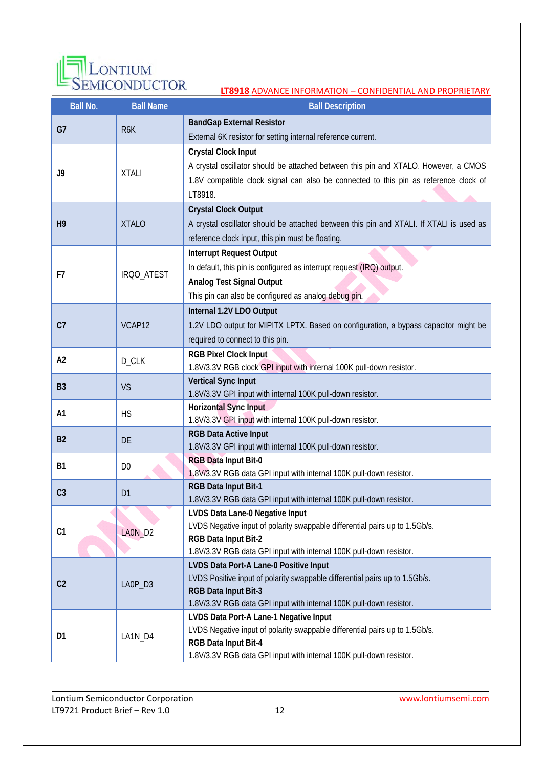

| <b>Ball No.</b> | <b>Ball Name</b> | <b>Ball Description</b>                                                                                               |
|-----------------|------------------|-----------------------------------------------------------------------------------------------------------------------|
| G7              |                  | <b>BandGap External Resistor</b>                                                                                      |
|                 | R <sub>6</sub> K | External 6K resistor for setting internal reference current.                                                          |
|                 |                  | <b>Crystal Clock Input</b>                                                                                            |
| J9              | <b>XTALI</b>     | A crystal oscillator should be attached between this pin and XTALO. However, a CMOS                                   |
|                 |                  | 1.8V compatible clock signal can also be connected to this pin as reference clock of                                  |
|                 |                  | LT8918.                                                                                                               |
|                 |                  | <b>Crystal Clock Output</b>                                                                                           |
| H <sub>9</sub>  | <b>XTALO</b>     | A crystal oscillator should be attached between this pin and XTALI. If XTALI is used as                               |
|                 |                  | reference clock input, this pin must be floating.                                                                     |
|                 |                  | <b>Interrupt Request Output</b>                                                                                       |
| F7              | IRQO_ATEST       | In default, this pin is configured as interrupt request (IRQ) output.                                                 |
|                 |                  | <b>Analog Test Signal Output</b>                                                                                      |
|                 |                  | This pin can also be configured as analog debug pin.                                                                  |
|                 |                  | Internal 1.2V LDO Output                                                                                              |
| C <sub>7</sub>  | VCAP12           | 1.2V LDO output for MIPITX LPTX. Based on configuration, a bypass capacitor might be                                  |
|                 |                  | required to connect to this pin.                                                                                      |
| A2              | D_CLK            | <b>RGB Pixel Clock Input</b>                                                                                          |
|                 |                  | 1.8V/3.3V RGB clock GPI input with internal 100K pull-down resistor.                                                  |
| <b>B3</b>       | VS               | <b>Vertical Sync Input</b>                                                                                            |
|                 |                  | 1.8V/3.3V GPI input with internal 100K pull-down resistor.                                                            |
| A1              | <b>HS</b>        | <b>Horizontal Sync Input</b><br>1.8V/3.3V GPI input with internal 100K pull-down resistor.                            |
|                 |                  | <b>RGB Data Active Input</b>                                                                                          |
| <b>B2</b>       | <b>DE</b>        | 1.8V/3.3V GPI input with internal 100K pull-down resistor.                                                            |
|                 |                  | <b>RGB Data Input Bit-0</b>                                                                                           |
| <b>B1</b>       | D <sub>0</sub>   | 1.8V/3.3V RGB data GPI input with internal 100K pull-down resistor.                                                   |
| C <sub>3</sub>  |                  | RGB Data Input Bit-1                                                                                                  |
|                 | D <sub>1</sub>   | 1.8V/3.3V RGB data GPI input with internal 100K pull-down resistor.                                                   |
|                 |                  | LVDS Data Lane-0 Negative Input                                                                                       |
| C1              | LAON_D2          | LVDS Negative input of polarity swappable differential pairs up to 1.5Gb/s.                                           |
|                 |                  | RGB Data Input Bit-2                                                                                                  |
|                 |                  | 1.8V/3.3V RGB data GPI input with internal 100K pull-down resistor.                                                   |
|                 |                  | LVDS Data Port-A Lane-0 Positive Input<br>LVDS Positive input of polarity swappable differential pairs up to 1.5Gb/s. |
| C <sub>2</sub>  | LAOP_D3          | RGB Data Input Bit-3                                                                                                  |
|                 |                  | 1.8V/3.3V RGB data GPI input with internal 100K pull-down resistor.                                                   |
|                 |                  | LVDS Data Port-A Lane-1 Negative Input                                                                                |
| D1              |                  | LVDS Negative input of polarity swappable differential pairs up to 1.5Gb/s.                                           |
|                 | LA1N_D4          | RGB Data Input Bit-4                                                                                                  |
|                 |                  | 1.8V/3.3V RGB data GPI input with internal 100K pull-down resistor.                                                   |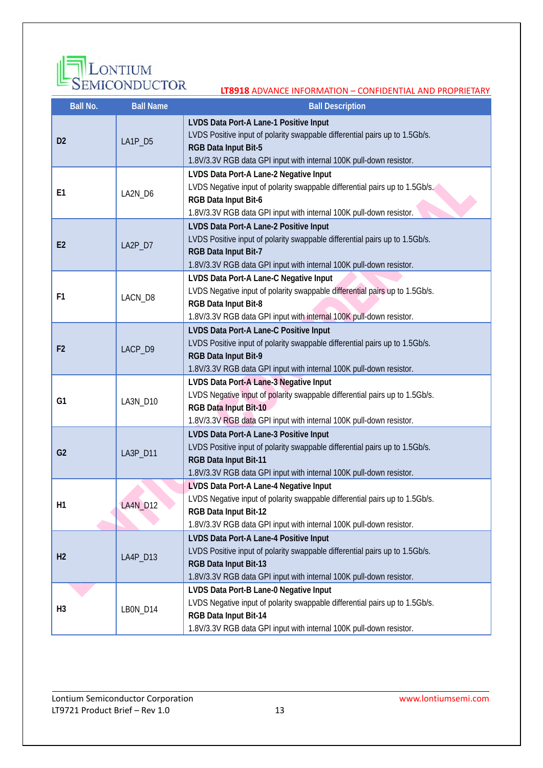

| <u>SLIVIICOI VPCCI ON</u><br><b>LT8918 ADVANCE INFORMATION - CONFIDENTIAL AND PROPRIETARY</b> |                                                                                                                                                                                                                                   |                                                                                                                                                                                                                       |  |  |  |  |
|-----------------------------------------------------------------------------------------------|-----------------------------------------------------------------------------------------------------------------------------------------------------------------------------------------------------------------------------------|-----------------------------------------------------------------------------------------------------------------------------------------------------------------------------------------------------------------------|--|--|--|--|
| <b>Ball No.</b><br><b>Ball Name</b>                                                           |                                                                                                                                                                                                                                   | <b>Ball Description</b>                                                                                                                                                                                               |  |  |  |  |
| D <sub>2</sub>                                                                                | LVDS Data Port-A Lane-1 Positive Input<br>LVDS Positive input of polarity swappable differential pairs up to 1.5Gb/s.<br>LA1P_D5<br>RGB Data Input Bit-5<br>1.8V/3.3V RGB data GPI input with internal 100K pull-down resistor.   |                                                                                                                                                                                                                       |  |  |  |  |
| E <sub>1</sub>                                                                                | LA2N_D6                                                                                                                                                                                                                           | LVDS Data Port-A Lane-2 Negative Input<br>LVDS Negative input of polarity swappable differential pairs up to 1.5Gb/s.<br>RGB Data Input Bit-6<br>1.8V/3.3V RGB data GPI input with internal 100K pull-down resistor.  |  |  |  |  |
| E2                                                                                            | LA2P_D7                                                                                                                                                                                                                           | LVDS Data Port-A Lane-2 Positive Input<br>LVDS Positive input of polarity swappable differential pairs up to 1.5Gb/s.<br>RGB Data Input Bit-7<br>1.8V/3.3V RGB data GPI input with internal 100K pull-down resistor.  |  |  |  |  |
| F <sub>1</sub>                                                                                | LACN_D8                                                                                                                                                                                                                           | LVDS Data Port-A Lane-C Negative Input<br>LVDS Negative input of polarity swappable differential pairs up to 1.5Gb/s.<br>RGB Data Input Bit-8<br>1.8V/3.3V RGB data GPI input with internal 100K pull-down resistor.  |  |  |  |  |
| F <sub>2</sub><br>LACP_D9                                                                     |                                                                                                                                                                                                                                   | LVDS Data Port-A Lane-C Positive Input<br>LVDS Positive input of polarity swappable differential pairs up to 1.5Gb/s.<br>RGB Data Input Bit-9<br>1.8V/3.3V RGB data GPI input with internal 100K pull-down resistor.  |  |  |  |  |
| G <sub>1</sub>                                                                                | LA3N_D10                                                                                                                                                                                                                          | LVDS Data Port-A Lane-3 Negative Input<br>LVDS Negative input of polarity swappable differential pairs up to 1.5Gb/s.<br>RGB Data Input Bit-10<br>1.8V/3.3V RGB data GPI input with internal 100K pull-down resistor. |  |  |  |  |
| G <sub>2</sub>                                                                                | LA3P_D11                                                                                                                                                                                                                          | LVDS Data Port-A Lane-3 Positive Input<br>LVDS Positive input of polarity swappable differential pairs up to 1.5Gb/s.<br>RGB Data Input Bit-11<br>1.8V/3.3V RGB data GPI input with internal 100K pull-down resistor. |  |  |  |  |
| H <sub>1</sub>                                                                                | LA4N_D12                                                                                                                                                                                                                          | LVDS Data Port-A Lane-4 Negative Input<br>LVDS Negative input of polarity swappable differential pairs up to 1.5Gb/s.<br>RGB Data Input Bit-12<br>1.8V/3.3V RGB data GPI input with internal 100K pull-down resistor. |  |  |  |  |
| H <sub>2</sub>                                                                                | LVDS Data Port-A Lane-4 Positive Input<br>LVDS Positive input of polarity swappable differential pairs up to 1.5Gb/s.<br>LA4P_D13<br>RGB Data Input Bit-13<br>1.8V/3.3V RGB data GPI input with internal 100K pull-down resistor. |                                                                                                                                                                                                                       |  |  |  |  |
| H <sub>3</sub>                                                                                | LBON_D14                                                                                                                                                                                                                          | LVDS Data Port-B Lane-0 Negative Input<br>LVDS Negative input of polarity swappable differential pairs up to 1.5Gb/s.<br>RGB Data Input Bit-14<br>1.8V/3.3V RGB data GPI input with internal 100K pull-down resistor. |  |  |  |  |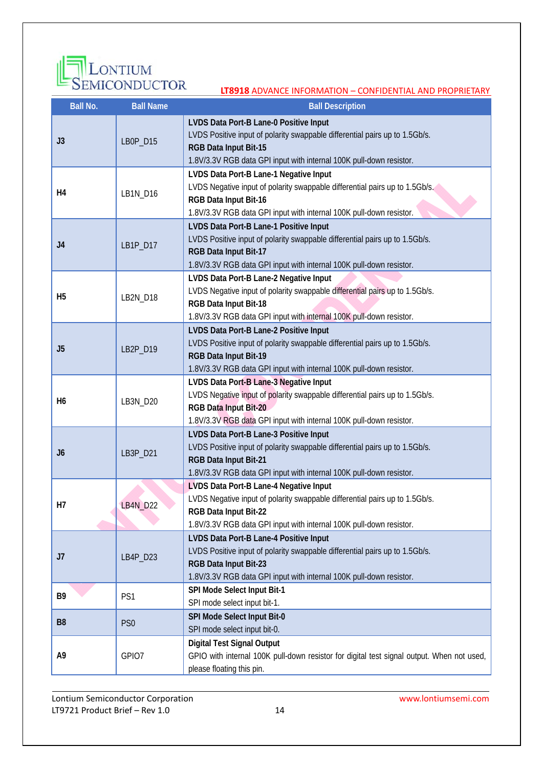

| <b>Ball No.</b> | <b>Ball Name</b> | LI <b>0910</b> ADVANCE INFORMATION – CONFIDENTIAL AND PROPRIETARY<br><b>Ball Description</b>                                                                                                                          |  |  |  |
|-----------------|------------------|-----------------------------------------------------------------------------------------------------------------------------------------------------------------------------------------------------------------------|--|--|--|
|                 |                  | LVDS Data Port-B Lane-0 Positive Input                                                                                                                                                                                |  |  |  |
| J3              | LB0P_D15         | LVDS Positive input of polarity swappable differential pairs up to 1.5Gb/s.<br>RGB Data Input Bit-15<br>1.8V/3.3V RGB data GPI input with internal 100K pull-down resistor.                                           |  |  |  |
| H4              | LB1N_D16         | LVDS Data Port-B Lane-1 Negative Input<br>LVDS Negative input of polarity swappable differential pairs up to 1.5Gb/s.<br>RGB Data Input Bit-16<br>1.8V/3.3V RGB data GPI input with internal 100K pull-down resistor. |  |  |  |
| J4              | LB1P_D17         | LVDS Data Port-B Lane-1 Positive Input<br>LVDS Positive input of polarity swappable differential pairs up to 1.5Gb/s.<br>RGB Data Input Bit-17<br>1.8V/3.3V RGB data GPI input with internal 100K pull-down resistor. |  |  |  |
| H <sub>5</sub>  | LB2N_D18         | LVDS Data Port-B Lane-2 Negative Input<br>LVDS Negative input of polarity swappable differential pairs up to 1.5Gb/s.<br>RGB Data Input Bit-18<br>1.8V/3.3V RGB data GPI input with internal 100K pull-down resistor. |  |  |  |
| J5              | LB2P_D19         | LVDS Data Port-B Lane-2 Positive Input<br>LVDS Positive input of polarity swappable differential pairs up to 1.5Gb/s.<br>RGB Data Input Bit-19<br>1.8V/3.3V RGB data GPI input with internal 100K pull-down resistor. |  |  |  |
| H6              | LB3N_D20         | LVDS Data Port-B Lane-3 Negative Input<br>LVDS Negative input of polarity swappable differential pairs up to 1.5Gb/s.<br>RGB Data Input Bit-20<br>1.8V/3.3V RGB data GPI input with internal 100K pull-down resistor. |  |  |  |
| J6              | LB3P_D21         | LVDS Data Port-B Lane-3 Positive Input<br>LVDS Positive input of polarity swappable differential pairs up to 1.5Gb/s.<br>RGB Data Input Bit-21<br>1.8V/3.3V RGB data GPI input with internal 100K pull-down resistor. |  |  |  |
| Н7              | <b>LB4N_D22</b>  | LVDS Data Port-B Lane-4 Negative Input<br>LVDS Negative input of polarity swappable differential pairs up to 1.5Gb/s.<br>RGB Data Input Bit-22<br>1.8V/3.3V RGB data GPI input with internal 100K pull-down resistor. |  |  |  |
| J7              | LB4P_D23         | LVDS Data Port-B Lane-4 Positive Input<br>LVDS Positive input of polarity swappable differential pairs up to 1.5Gb/s.<br>RGB Data Input Bit-23<br>1.8V/3.3V RGB data GPI input with internal 100K pull-down resistor. |  |  |  |
| B9              | PS1              | SPI Mode Select Input Bit-1<br>SPI mode select input bit-1.                                                                                                                                                           |  |  |  |
| B <sub>8</sub>  | PS <sub>0</sub>  | SPI Mode Select Input Bit-0<br>SPI mode select input bit-0.                                                                                                                                                           |  |  |  |
| Α9              | GPIO7            | <b>Digital Test Signal Output</b><br>GPIO with internal 100K pull-down resistor for digital test signal output. When not used,<br>please floating this pin.                                                           |  |  |  |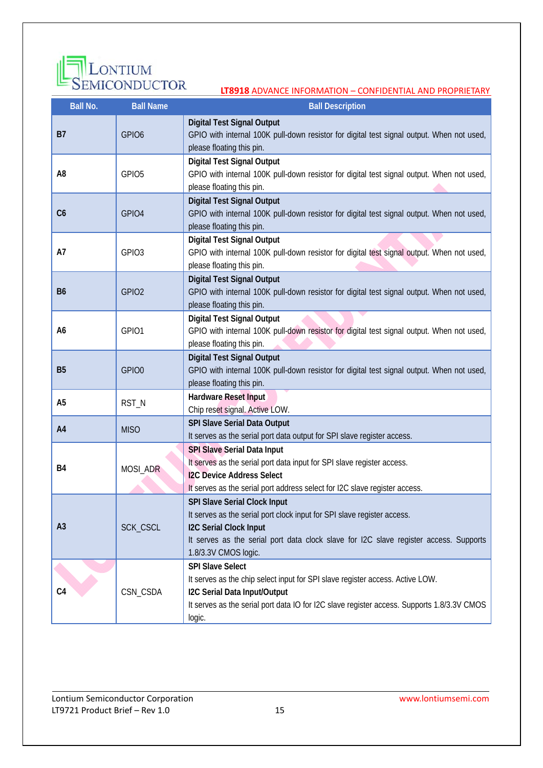

| <b>Ball No.</b> | <b>Ball Name</b>  | <b>Ball Description</b>                                                                                                                                                                                                                                   |  |  |  |
|-----------------|-------------------|-----------------------------------------------------------------------------------------------------------------------------------------------------------------------------------------------------------------------------------------------------------|--|--|--|
| <b>B7</b>       | GPIO <sub>6</sub> | <b>Digital Test Signal Output</b><br>GPIO with internal 100K pull-down resistor for digital test signal output. When not used,<br>please floating this pin.                                                                                               |  |  |  |
| A <sub>8</sub>  | GPIO <sub>5</sub> | <b>Digital Test Signal Output</b><br>GPIO with internal 100K pull-down resistor for digital test signal output. When not used,<br>please floating this pin.                                                                                               |  |  |  |
| C6              | GPIO4             | <b>Digital Test Signal Output</b><br>GPIO with internal 100K pull-down resistor for digital test signal output. When not used,<br>please floating this pin.                                                                                               |  |  |  |
| A7              | GPIO <sub>3</sub> | <b>Digital Test Signal Output</b><br>GPIO with internal 100K pull-down resistor for digital test signal output. When not used,<br>please floating this pin.                                                                                               |  |  |  |
| <b>B6</b>       | GPIO <sub>2</sub> | <b>Digital Test Signal Output</b><br>GPIO with internal 100K pull-down resistor for digital test signal output. When not used,<br>please floating this pin.                                                                                               |  |  |  |
| A6              | GPIO1             | <b>Digital Test Signal Output</b><br>GPIO with internal 100K pull-down resistor for digital test signal output. When not used,<br>please floating this pin.                                                                                               |  |  |  |
| <b>B5</b>       | GPIO0             | <b>Digital Test Signal Output</b><br>GPIO with internal 100K pull-down resistor for digital test signal output. When not used,<br>please floating this pin.                                                                                               |  |  |  |
| A <sub>5</sub>  | RST_N             | Hardware Reset Input<br>Chip reset signal. Active LOW.                                                                                                                                                                                                    |  |  |  |
| A4              | <b>MISO</b>       | <b>SPI Slave Serial Data Output</b><br>It serves as the serial port data output for SPI slave register access.                                                                                                                                            |  |  |  |
| B4              | MOSI_ADR          | SPI Slave Serial Data Input<br>It serves as the serial port data input for SPI slave register access.<br><b>I2C Device Address Select</b><br>It serves as the serial port address select for I2C slave register access.                                   |  |  |  |
| A <sub>3</sub>  | SCK_CSCL          | SPI Slave Serial Clock Input<br>It serves as the serial port clock input for SPI slave register access.<br><b>I2C Serial Clock Input</b><br>It serves as the serial port data clock slave for I2C slave register access. Supports<br>1.8/3.3V CMOS logic. |  |  |  |
| C <sub>4</sub>  | CSN_CSDA          | <b>SPI Slave Select</b><br>It serves as the chip select input for SPI slave register access. Active LOW.<br>I2C Serial Data Input/Output<br>It serves as the serial port data IO for I2C slave register access. Supports 1.8/3.3V CMOS<br>logic.          |  |  |  |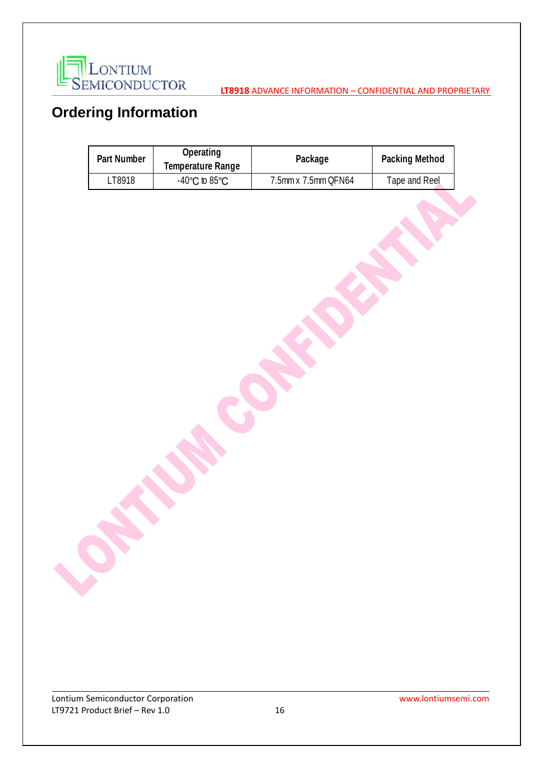

# **Ordering Information**

| Part Number | Operating<br>Temperature Range     | Package             | Packing Method |
|-------------|------------------------------------|---------------------|----------------|
| ∟T8918      | $-40^{\circ}$ C to 85 $^{\circ}$ C | 7.5mm x 7.5mm QFN64 | Tape and Reel  |